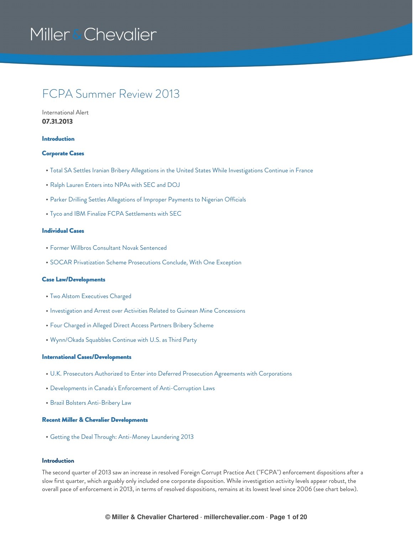### FCPA Summer Review 2013

International Alert **07.31.2013**

#### [Introduction](#page-0-0)

### [Corporate](#page-5-0) Cases

- Total SA Settles Iranian Bribery Allegations in the United States While [Investigations](#page-5-1) Continue in France
- Ralph [Lauren](#page-7-0) Enters into NPAs with SEC and DOJ
- Parker Drilling Settles [Allegations](#page-8-0) of Improper Payments to Nigerian Officials
- Tyco and IBM Finalize FCPA [Settlements](#page-9-0) with SEC

### [Individual](#page-10-0) Cases

- Former Willbros [Consultant](#page-10-1) Novak Sentenced
- SOCAR Privatization Scheme [Prosecutions](#page-11-0) Conclude, With One Exception

### Case [Law/Developments](#page-11-1)

- Two Alstom [Executives](#page-11-2) Charged
- [Investigation](#page-12-0) and Arrest over Activities Related to Guinean Mine Concessions
- Four [Charged](#page-14-0) in Alleged Direct Access Partners Bribery Scheme
- [Wynn/Okada](#page-15-0) Squabbles Continue with U.S. as Third Party

### International [Cases/Developments](#page-16-0)

- U.K. Prosecutors Authorized to Enter into Deferred Prosecution Agreements with [Corporations](#page-16-1)
- Developments in Canada's Enforcement of [Anti-Corruption](#page-17-0) Laws
- **Brazil Bolsters [Anti-Bribery](#page-18-0) Law**

### Recent Miller & Chevalier [Developments](#page-19-0)

Getting the Deal Through: [Anti-Money](#page-19-1) Laundering 2013

### <span id="page-0-0"></span>**Introduction**

The second quarter of 2013 saw an increase in resolved Foreign Corrupt Practice Act ("FCPA") enforcement dispositions after a slow first quarter, which arguably only included one corporate disposition. While investigation activity levels appear robust, the overall pace of enforcement in 2013, in terms of resolved dispositions, remains at its lowest level since 2006 (see chart below).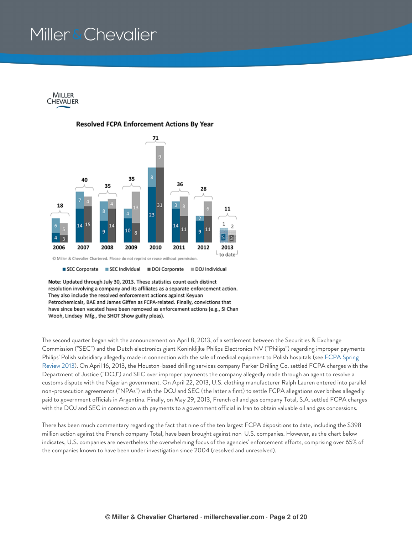

### **Resolved FCPA Enforcement Actions By Year**



SEC Corporate SEC Individual DOJ Corporate DOJ Individual

Note: Updated through July 30, 2013. These statistics count each distinct resolution involving a company and its affiliates as a separate enforcement action. They also include the resolved enforcement actions against Keyuan Petrochemicals, BAE and James Giffen as FCPA-related. Finally, convictions that have since been vacated have been removed as enforcement actions (e.g., Si Chan Wooh, Lindsey Mfg., the SHOT Show guilty pleas).

The second quarter began with the announcement on April 8, 2013, of a settlement between the Securities & Exchange Commission ("SEC") and the Dutch electronics giant Koninklijke Philips Electronics NV ("Philips") regarding improper payments Philips' Polish subsidiary allegedly made in connection with the sale of medical equipment to Polish hospitals (see FCPA Spring Review 2013). On April 16, 2013, the [Houston-based](https://www.millerchevalier.com/publication/fcpa-spring-review-2013) drilling services company Parker Drilling Co. settled FCPA charges with the Department of Justice ("DOJ") and SEC over improper payments the company allegedly made through an agent to resolve a customs dispute with the Nigerian government. On April 22, 2013, U.S. clothing manufacturer Ralph Lauren entered into parallel non-prosecution agreements ("NPAs") with the DOJ and SEC (the latter a first) to settle FCPA allegations over bribes allegedly paid to government officials in Argentina. Finally, on May 29, 2013, French oil and gas company Total, S.A. settled FCPA charges with the DOJ and SEC in connection with payments to a government official in Iran to obtain valuable oil and gas concessions.

There has been much commentary regarding the fact that nine of the ten largest FCPA dispositions to date, including the \$398 million action against the French company Total, have been brought against non-U.S. companies. However, as the chart below indicates, U.S. companies are nevertheless the overwhelming focus of the agencies' enforcement efforts, comprising over 65% of the companies known to have been under investigation since 2004 (resolved and unresolved).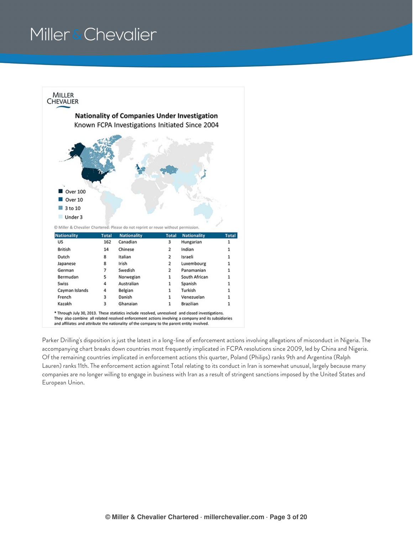

\* Through July 30, 2013. These statistics include resolved, unresolved and closed investigations. They also combine all related resolved enforcement actions involving a company and its subsidiaries

and affiliates and attribute the nationality of the company to the parent entity involved.

Parker Drilling's disposition is just the latest in a long-line of enforcement actions involving allegations of misconduct in Nigeria. The accompanying chart breaks down countries most frequently implicated in FCPA resolutions since 2009, led by China and Nigeria. Of the remaining countries implicated in enforcement actions this quarter, Poland (Philips) ranks 9th and Argentina (Ralph Lauren) ranks 11th. The enforcement action against Total relating to its conduct in Iran is somewhat unusual, largely because many companies are no longer willing to engage in business with Iran as a result of stringent sanctions imposed by the United States and European Union.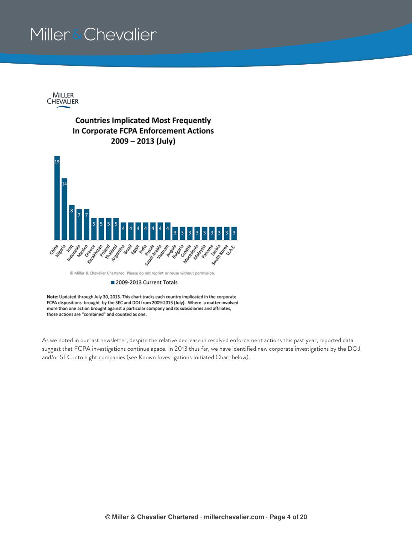

### **Countries Implicated Most Frequently** In Corporate FCPA Enforcement Actions 2009 - 2013 (July)



© Miller & Chevalier Chartered. Please do not reprint or reuse without permission.

#### 2009-2013 Current Totals

Note: Updated through July 30, 2013. This chart tracks each country implicated in the corporate FCPA dispositions brought by the SEC and DOJ from 2009-2013 (July). Where a matter involved more than one action brought against a particular company and its subsidiaries and affiliates, those actions are "combined" and counted as one.

As we noted in our last newsletter, despite the relative decrease in resolved enforcement actions this past year, reported data suggest that FCPA investigations continue apace. In 2013 thus far, we have identified new corporate investigations by the DOJ and/or SEC into eight companies (see Known Investigations Initiated Chart below).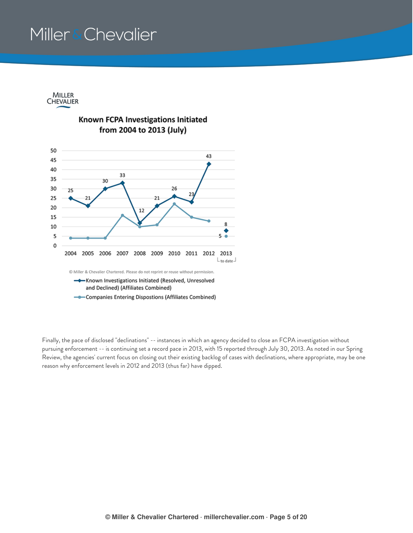MILLER CHEVALIER



Finally, the pace of disclosed "declinations" -- instances in which an agency decided to close an FCPA investigation without pursuing enforcement -- is continuing set a record pace in 2013, with 15 reported through July 30, 2013. As noted in our Spring Review, the agencies' current focus on closing out their existing backlog of cases with declinations, where appropriate, may be one reason why enforcement levels in 2012 and 2013 (thus far) have dipped.

Known FCPA Investigations Initiated from 2004 to 2013 (July)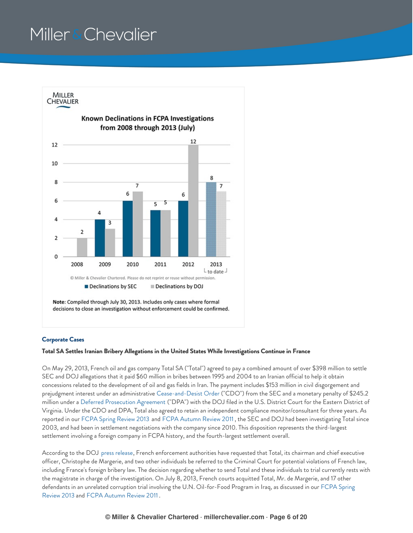

### <span id="page-5-0"></span>**Corporate Cases**

#### <span id="page-5-1"></span>**Total SA Settles Iranian Bribery Allegations in the United States While Investigations Continue in France**

On May 29, 2013, French oil and gas company Total SA ("Total") agreed to pay a combined amount of over \$398 million to settle SEC and DOJ allegations that it paid \$60 million in bribes between 1995 and 2004 to an Iranian official to help it obtain concessions related to the development of oil and gas fields in Iran. The payment includes \$153 million in civil disgorgement and prejudgment interest under an administrative [Cease-and-Desist](https://www.millerchevalier.com/sites/default/files/resources/FCPASummer2013_cease.pdf) Order ("CDO") from the SEC and a monetary penalty of \$245.2 million under a Deferred [Prosecution](https://www.millerchevalier.com/sites/default/files/resources/FCPASummer2013_DPA.pdf) Agreement ("DPA") with the DOJ filed in the U.S. District Court for the Eastern District of Virginia. Under the CDO and DPA, Total also agreed to retain an independent compliance monitor/consultant for three years. As reported in our FCPA Spring [Review](https://www.millerchevalier.com/publication/fcpa-spring-review-2013) 2013 and FCPA [Autumn](https://www.millerchevalier.com/publication/fcpa-autumn-review-2011) Review 2011 , the SEC and DOJ had been investigating Total since 2003, and had been in settlement negotiations with the company since 2010. This disposition represents the third-largest settlement involving a foreign company in FCPA history, and the fourth-largest settlement overall.

According to the DOJ press [release](https://www.millerchevalier.com/sites/default/files/resources/FCPASummer2013_DOJpr.pdf), French enforcement authorities have requested that Total, its chairman and chief executive officer, Christophe de Margerie, and two other individuals be referred to the Criminal Court for potential violations of French law, including France's foreign bribery law. The decision regarding whether to send Total and these individuals to trial currently rests with the magistrate in charge of the investigation. On July 8, 2013, French courts acquitted Total, Mr. de Margerie, and 17 other defendants in an unrelated corruption trial involving the U.N. [Oil-for-Food](https://www.millerchevalier.com/publication/fcpa-spring-review-2013) Program in Iraq, as discussed in our FCPA Spring Review 2013 and FCPA [Autumn](https://www.millerchevalier.com/publication/fcpa-autumn-review-2011) Review 2011 .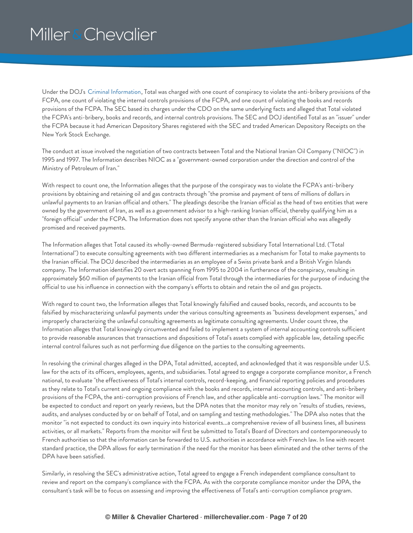Under the DOJ's Criminal [Information](https://www.millerchevalier.com/sites/default/files/resources/FCPASummer2013_information.pdf), Total was charged with one count of conspiracy to violate the anti-bribery provisions of the FCPA, one count of violating the internal controls provisions of the FCPA, and one count of violating the books and records provisions of the FCPA. The SEC based its charges under the CDO on the same underlying facts and alleged that Total violated the FCPA's anti-bribery, books and records, and internal controls provisions. The SEC and DOJ identified Total as an "issuer" under the FCPA because it had American Depository Shares registered with the SEC and traded American Depository Receipts on the New York Stock Exchange.

The conduct at issue involved the negotiation of two contracts between Total and the National Iranian Oil Company ("NIOC") in 1995 and 1997. The Information describes NIOC as a "government-owned corporation under the direction and control of the Ministry of Petroleum of Iran."

With respect to count one, the Information alleges that the purpose of the conspiracy was to violate the FCPA's anti-bribery provisions by obtaining and retaining oil and gas contracts through "the promise and payment of tens of millions of dollars in unlawful payments to an Iranian official and others." The pleadings describe the Iranian official as the head of two entities that were owned by the government of Iran, as well as a government advisor to a high-ranking Iranian official, thereby qualifying him as a "foreign official" under the FCPA. The Information does not specify anyone other than the Iranian official who was allegedly promised and received payments.

The Information alleges that Total caused its wholly-owned Bermuda-registered subsidiary Total International Ltd. ("Total International") to execute consulting agreements with two different intermediaries as a mechanism for Total to make payments to the Iranian official. The DOJ described the intermediaries as an employee of a Swiss private bank and a British Virgin Islands company. The Information identifies 20 overt acts spanning from 1995 to 2004 in furtherance of the conspiracy, resulting in approximately \$60 million of payments to the Iranian official from Total through the intermediaries for the purpose of inducing the official to use his influence in connection with the company's efforts to obtain and retain the oil and gas projects.

With regard to count two, the Information alleges that Total knowingly falsified and caused books, records, and accounts to be falsified by mischaracterizing unlawful payments under the various consulting agreements as "business development expenses," and improperly characterizing the unlawful consulting agreements as legitimate consulting agreements. Under count three, the Information alleges that Total knowingly circumvented and failed to implement a system of internal accounting controls sufficient to provide reasonable assurances that transactions and dispositions of Total's assets complied with applicable law, detailing specific internal control failures such as not performing due diligence on the parties to the consulting agreements.

In resolving the criminal charges alleged in the DPA, Total admitted, accepted, and acknowledged that it was responsible under U.S. law for the acts of its officers, employees, agents, and subsidiaries. Total agreed to engage a corporate compliance monitor, a French national, to evaluate "the effectiveness of Total's internal controls, record-keeping, and financial reporting policies and procedures as they relate to Total's current and ongoing compliance with the books and records, internal accounting controls, and anti-bribery provisions of the FCPA, the anti-corruption provisions of French law, and other applicable anti-corruption laws." The monitor will be expected to conduct and report on yearly reviews, but the DPA notes that the monitor may rely on "results of studies, reviews, audits, and analyses conducted by or on behalf of Total, and on sampling and testing methodologies." The DPA also notes that the monitor "is not expected to conduct its own inquiry into historical events...a comprehensive review of all business lines, all business activities, or all markets." Reports from the monitor will first be submitted to Total's Board of Directors and contemporaneously to French authorities so that the information can be forwarded to U.S. authorities in accordance with French law. In line with recent standard practice, the DPA allows for early termination if the need for the monitor has been eliminated and the other terms of the DPA have been satisfied.

Similarly, in resolving the SEC's administrative action, Total agreed to engage a French independent compliance consultant to review and report on the company's compliance with the FCPA. As with the corporate compliance monitor under the DPA, the consultant's task will be to focus on assessing and improving the effectiveness of Total's anti-corruption compliance program.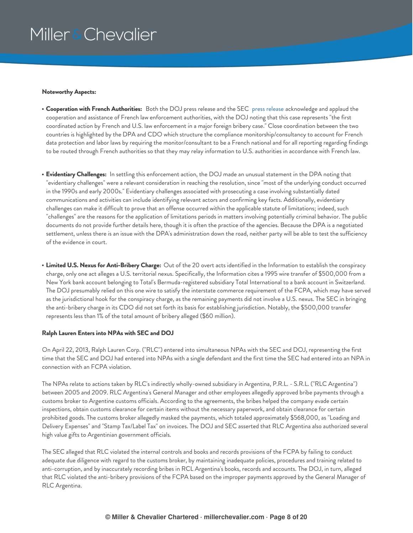#### **Noteworthy Aspects:**

- **Cooperation with French Authorities:** Both the DOJ press release and the SEC press [release](https://www.millerchevalier.com/sites/default/files/resources/FCPASummer2013_SECpr.pdf) acknowledge and applaud the cooperation and assistance of French law enforcement authorities, with the DOJ noting that this case represents "the first coordinated action by French and U.S. law enforcement in a major foreign bribery case." Close coordination between the two countries is highlighted by the DPA and CDO which structure the compliance monitorship/consultancy to account for French data protection and labor laws by requiring the monitor/consultant to be a French national and for all reporting regarding findings to be routed through French authorities so that they may relay information to U.S. authorities in accordance with French law.
- **Evidentiary Challenges:** In settling this enforcement action, the DOJ made an unusual statement in the DPA noting that "evidentiary challenges" were a relevant consideration in reaching the resolution, since "most of the underlying conduct occurred in the 1990s and early 2000s." Evidentiary challenges associated with prosecuting a case involving substantially dated communications and activities can include identifying relevant actors and confirming key facts. Additionally, evidentiary challenges can make it difficult to prove that an offense occurred within the applicable statute of limitations; indeed, such "challenges" are the reasons for the application of limitations periods in matters involving potentially criminal behavior. The public documents do not provide further details here, though it is often the practice of the agencies. Because the DPA is a negotiated settlement, unless there is an issue with the DPA's administration down the road, neither party will be able to test the sufficiency of the evidence in court.
- **Limited U.S. Nexus for Anti-Bribery Charge:** Out of the 20 overt acts identified in the Information to establish the conspiracy charge, only one act alleges a U.S. territorial nexus. Specifically, the Information cites a 1995 wire transfer of \$500,000 from a New York bank account belonging to Total's Bermuda-registered subsidiary Total International to a bank account in Switzerland. The DOJ presumably relied on this one wire to satisfy the interstate commerce requirement of the FCPA, which may have served as the jurisdictional hook for the conspiracy charge, as the remaining payments did not involve a U.S. nexus. The SEC in bringing the anti-bribery charge in its CDO did not set forth its basis for establishing jurisdiction. Notably, the \$500,000 transfer represents less than 1% of the total amount of bribery alleged (\$60 million).

### <span id="page-7-0"></span>**Ralph Lauren Enters into NPAs with SEC and DOJ**

On April 22, 2013, Ralph Lauren Corp. ("RLC") entered into simultaneous NPAs with the SEC and DOJ, representing the first time that the SEC and DOJ had entered into NPAs with a single defendant and the first time the SEC had entered into an NPA in connection with an FCPA violation.

The NPAs relate to actions taken by RLC's indirectly wholly-owned subsidiary in Argentina, P.R.L. - S.R.L. ("RLC Argentina") between 2005 and 2009. RLC Argentina's General Manager and other employees allegedly approved bribe payments through a customs broker to Argentine customs officials. According to the agreements, the bribes helped the company evade certain inspections, obtain customs clearance for certain items without the necessary paperwork, and obtain clearance for certain prohibited goods. The customs broker allegedly masked the payments, which totaled approximately \$568,000, as "Loading and Delivery Expenses" and "Stamp Tax/Label Tax" on invoices. The DOJ and SEC asserted that RLC Argentina also authorized several high value gifts to Argentinian government officials.

The SEC alleged that RLC violated the internal controls and books and records provisions of the FCPA by failing to conduct adequate due diligence with regard to the customs broker, by maintaining inadequate policies, procedures and training related to anti-corruption, and by inaccurately recording bribes in RCL Argentina's books, records and accounts. The DOJ, in turn, alleged that RLC violated the anti-bribery provisions of the FCPA based on the improper payments approved by the General Manager of RLC Argentina.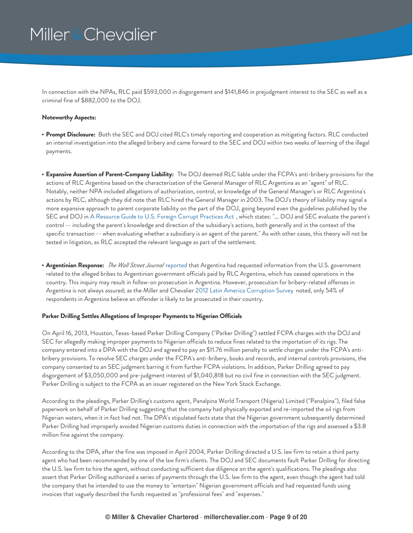In connection with the NPAs, RLC paid \$593,000 in disgorgement and \$141,846 in prejudgment interest to the SEC as well as a criminal fine of \$882,000 to the DOJ.

### **Noteworthy Aspects:**

- **Prompt Disclosure:** Both the SEC and DOJ cited RLC's timely reporting and cooperation as mitigating factors. RLC conducted an internal investigation into the alleged bribery and came forward to the SEC and DOJ within two weeks of learning of the illegal payments.
- **Expansive Assertion of Parent-Company Liability:** The DOJ deemed RLC liable under the FCPA's anti-bribery provisions for the actions of RLC Argentina based on the characterization of the General Manager of RLC Argentina as an "agent" of RLC. Notably, neither NPA included allegations of authorization, control, or knowledge of the General Manager's or RLC Argentina's actions by RLC, although they did note that RLC hired the General Manager in 2003. The DOJ's theory of liability may signal a more expansive approach to parent corporate liability on the part of the DOJ, going beyond even the guidelines published by the SEC and DOJ in A [Resource](http://www.justice.gov/criminal/fraud/fcpa/guidance/guide.pdf) Guide to U.S. Foreign Corrupt Practices Act , which states: "... DOJ and SEC evaluate the parent's control -- including the parent's knowledge and direction of the subsidiary's actions, both generally and in the context of the specific transaction -- when evaluating whether a subsidiary is an agent of the parent." As with other cases, this theory will not be tested in litigation, as RLC accepted the relevant language as part of the settlement.
- **Argentinian Response:** *The Wall Street Journal* [reported](http://www.wsj.com/articles/SB10001424127887324235304578438704093187288) that Argentina had requested information from the U.S. government related to the alleged bribes to Argentinian government officials paid by RLC Argentina, which has ceased operations in the country. This inquiry may result in follow-on prosecution in Argentina. However, prosecution for bribery-related offenses in Argentina is not always assured; as the Miller and Chevalier 2012 Latin America [Corruption](https://www.millerchevalier.com/sites/default/files/resources/FCPASummer2013_LACorruptionSurvey.pdf) Survey noted, only 54% of respondents in Argentina believe an offender is likely to be prosecuted in their country.

### <span id="page-8-0"></span>**Parker Drilling Settles Allegations of Improper Payments to Nigerian Officials**

On April 16, 2013, Houston, Texas-based Parker Drilling Company ("Parker Drilling") settled FCPA charges with the DOJ and SEC for allegedly making improper payments to Nigerian officials to reduce fines related to the importation of its rigs. The company entered into a DPA with the DOJ and agreed to pay an \$11.76 million penalty to settle charges under the FCPA's antibribery provisions. To resolve SEC charges under the FCPA's anti-bribery, books and records, and internal controls provisions, the company consented to an SEC judgment barring it from further FCPA violations. In addition, Parker Drilling agreed to pay disgorgement of \$3,050,000 and pre-judgment interest of \$1,040,818 but no civil fine in connection with the SEC judgment. Parker Drilling is subject to the FCPA as an issuer registered on the New York Stock Exchange.

According to the pleadings, Parker Drilling's customs agent, Panalpina World Transport (Nigeria) Limited ("Panalpina"), filed false paperwork on behalf of Parker Drilling suggesting that the company had physically exported and re-imported the oil rigs from Nigerian waters, when it in fact had not. The DPA's stipulated facts state that the Nigerian government subsequently determined Parker Drilling had improperly avoided Nigerian customs duties in connection with the importation of the rigs and assessed a \$3.8 million fine against the company.

According to the DPA, after the fine was imposed in April 2004, Parker Drilling directed a U.S. law firm to retain a third party agent who had been recommended by one of the law firm's clients. The DOJ and SEC documents fault Parker Drilling for directing the U.S. law firm to hire the agent, without conducting sufficient due diligence on the agent's qualifications. The pleadings also assert that Parker Drilling authorized a series of payments through the U.S. law firm to the agent, even though the agent had told the company that he intended to use the money to "entertain" Nigerian government officials and had requested funds using invoices that vaguely described the funds requested as "professional fees" and "expenses."

### **© Miller & Chevalier Chartered · millerchevalier.com · Page 9 of 20**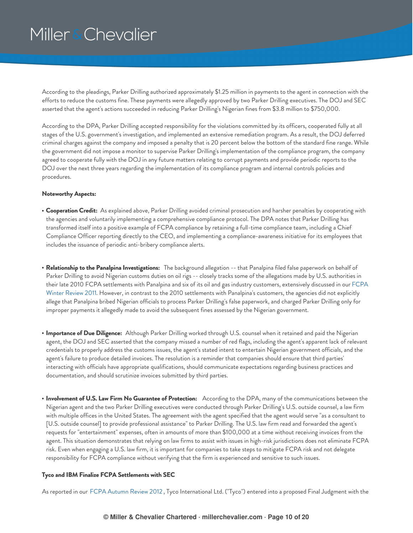According to the pleadings, Parker Drilling authorized approximately \$1.25 million in payments to the agent in connection with the efforts to reduce the customs fine. These payments were allegedly approved by two Parker Drilling executives. The DOJ and SEC asserted that the agent's actions succeeded in reducing Parker Drilling's Nigerian fines from \$3.8 million to \$750,000.

According to the DPA, Parker Drilling accepted responsibility for the violations committed by its officers, cooperated fully at all stages of the U.S. government's investigation, and implemented an extensive remediation program. As a result, the DOJ deferred criminal charges against the company and imposed a penalty that is 20 percent below the bottom of the standard fine range. While the government did not impose a monitor to supervise Parker Drilling's implementation of the compliance program, the company agreed to cooperate fully with the DOJ in any future matters relating to corrupt payments and provide periodic reports to the DOJ over the next three years regarding the implementation of its compliance program and internal controls policies and procedures.

#### **Noteworthy Aspects:**

- **Cooperation Credit:** As explained above, Parker Drilling avoided criminal prosecution and harsher penalties by cooperating with the agencies and voluntarily implementing a comprehensive compliance protocol. The DPA notes that Parker Drilling has transformed itself into a positive example of FCPA compliance by retaining a full-time compliance team, including a Chief Compliance Officer reporting directly to the CEO, and implementing a compliance-awareness initiative for its employees that includes the issuance of periodic anti-bribery compliance alerts.
- **Relationship to the Panalpina Investigations:** The background allegation -- that Panalpina filed false paperwork on behalf of Parker Drilling to avoid Nigerian customs duties on oil rigs -- closely tracks some of the allegations made by U.S. authorities in their late 2010 FCPA [settlements](https://www.millerchevalier.com/publication/fcpa-winter-review-2011) with Panalpina and six of its oil and gas industry customers, extensively discussed in our FCPA Winter Review 2011. However, in contrast to the 2010 settlements with Panalpina's customers, the agencies did not explicitly allege that Panalpina bribed Nigerian officials to process Parker Drilling's false paperwork, and charged Parker Drilling only for improper payments it allegedly made to avoid the subsequent fines assessed by the Nigerian government.
- **Importance of Due Diligence:** Although Parker Drilling worked through U.S. counsel when it retained and paid the Nigerian agent, the DOJ and SEC asserted that the company missed a number of red flags, including the agent's apparent lack of relevant credentials to properly address the customs issues, the agent's stated intent to entertain Nigerian government officials, and the agent's failure to produce detailed invoices. The resolution is a reminder that companies should ensure that third parties' interacting with officials have appropriate qualifications, should communicate expectations regarding business practices and documentation, and should scrutinize invoices submitted by third parties.
- **Involvement of U.S. Law Firm No Guarantee of Protection:** According to the DPA, many of the communications between the Nigerian agent and the two Parker Drilling executives were conducted through Parker Drilling's U.S. outside counsel, a law firm with multiple offices in the United States. The agreement with the agent specified that the agent would serve "as a consultant to [U.S. outside counsel] to provide professional assistance" to Parker Drilling. The U.S. law firm read and forwarded the agent's requests for "entertainment" expenses, often in amounts of more than \$100,000 at a time without receiving invoices from the agent. This situation demonstrates that relying on law firms to assist with issues in high-risk jurisdictions does not eliminate FCPA risk. Even when engaging a U.S. law firm, it is important for companies to take steps to mitigate FCPA risk and not delegate responsibility for FCPA compliance without verifying that the firm is experienced and sensitive to such issues.

#### <span id="page-9-0"></span>**Tyco and IBM Finalize FCPA Settlements with SEC**

As reported in our FCPA [Autumn](https://www.millerchevalier.com/publication/fcpa-autumn-review-2012) Review 2012 , Tyco International Ltd. ("Tyco") entered into a proposed Final Judgment with the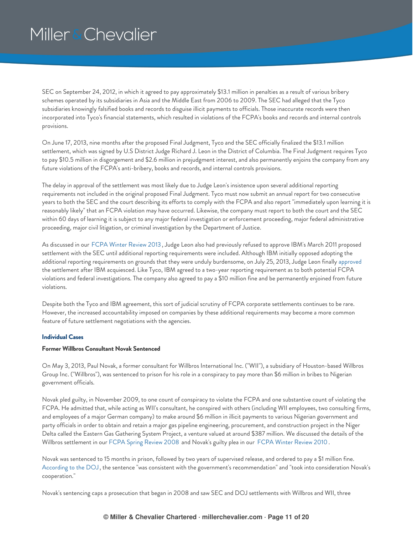SEC on September 24, 2012, in which it agreed to pay approximately \$13.1 million in penalties as a result of various bribery schemes operated by its subsidiaries in Asia and the Middle East from 2006 to 2009. The SEC had alleged that the Tyco subsidiaries knowingly falsified books and records to disguise illicit payments to officials. Those inaccurate records were then incorporated into Tyco's financial statements, which resulted in violations of the FCPA's books and records and internal controls provisions.

On June 17, 2013, nine months after the proposed Final Judgment, Tyco and the SEC officially finalized the \$13.1 million settlement, which was signed by U.S District Judge Richard J. Leon in the District of Columbia. The Final Judgment requires Tyco to pay \$10.5 million in disgorgement and \$2.6 million in prejudgment interest, and also permanently enjoins the company from any future violations of the FCPA's anti-bribery, books and records, and internal controls provisions.

The delay in approval of the settlement was most likely due to Judge Leon's insistence upon several additional reporting requirements not included in the original proposed Final Judgment. Tyco must now submit an annual report for two consecutive years to both the SEC and the court describing its efforts to comply with the FCPA and also report "immediately upon learning it is reasonably likely" that an FCPA violation may have occurred. Likewise, the company must report to both the court and the SEC within 60 days of learning it is subject to any major federal investigation or enforcement proceeding, major federal administrative proceeding, major civil litigation, or criminal investigation by the Department of Justice.

As discussed in our FCPA Winter [Review](https://www.millerchevalier.com/publication/fcpa-winter-review-2013) 2013 , Judge Leon also had previously refused to approve IBM's March 2011 proposed settlement with the SEC until additional reporting requirements were included. Although IBM initially opposed adopting the additional reporting requirements on grounds that they were unduly burdensome, on July 25, 2013, Judge Leon finally [approved](https://www.millerchevalier.com/sites/default/files/resources/FCPASummer2013_leonapproved.pdf) the settlement after IBM acquiesced. Like Tyco, IBM agreed to a two-year reporting requirement as to both potential FCPA violations and federal investigations. The company also agreed to pay a \$10 million fine and be permanently enjoined from future violations.

Despite both the Tyco and IBM agreement, this sort of judicial scrutiny of FCPA corporate settlements continues to be rare. However, the increased accountability imposed on companies by these additional requirements may become a more common feature of future settlement negotiations with the agencies.

### <span id="page-10-0"></span>**Individual Cases**

#### <span id="page-10-1"></span>**Former Willbros Consultant Novak Sentenced**

On May 3, 2013, Paul Novak, a former consultant for Willbros International Inc. ("WII"), a subsidiary of Houston-based Willbros Group Inc. ("Willbros"), was sentenced to prison for his role in a conspiracy to pay more than \$6 million in bribes to Nigerian government officials.

Novak pled guilty, in November 2009, to one count of conspiracy to violate the FCPA and one substantive count of violating the FCPA. He admitted that, while acting as WII's consultant, he conspired with others (including WII employees, two consulting firms, and employees of a major German company) to make around \$6 million in illicit payments to various Nigerian government and party officials in order to obtain and retain a major gas pipeline engineering, procurement, and construction project in the Niger Delta called the Eastern Gas Gathering System Project, a venture valued at around \$387 million. We discussed the details of the Willbros settlement in our FCPA Spring [Review](https://www.millerchevalier.com/publication/fcpa-spring-review-2008) 2008 and Novak's guilty plea in our FCPA Winter [Review](https://www.millerchevalier.com/publication/fcpa-winter-review-2010) 2010 .

Novak was sentenced to 15 months in prison, followed by two years of supervised release, and ordered to pay a \$1 million fine. [According](http://www.justice.gov/opa/pr/2013/May/13-crm-505.html) to the DOJ , the sentence "was consistent with the government's recommendation" and "took into consideration Novak's cooperation."

Novak's sentencing caps a prosecution that began in 2008 and saw SEC and DOJ settlements with Willbros and WII, three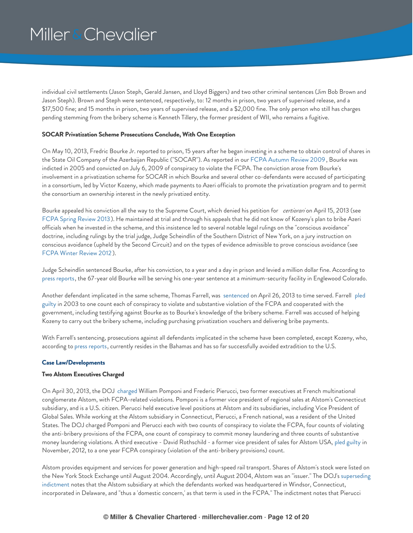individual civil settlements (Jason Steph, Gerald Jansen, and Lloyd Biggers) and two other criminal sentences (Jim Bob Brown and Jason Steph). Brown and Steph were sentenced, respectively, to: 12 months in prison, two years of supervised release, and a \$17,500 fine; and 15 months in prison, two years of supervised release, and a \$2,000 fine. The only person who still has charges pending stemming from the bribery scheme is Kenneth Tillery, the former president of WII, who remains a fugitive.

### <span id="page-11-0"></span>**SOCAR Privatization Scheme Prosecutions Conclude, With One Exception**

On May 10, 2013, Fredric Bourke Jr. reported to prison, 15 years after he began investing in a scheme to obtain control of shares in the State Oil Company of the Azerbaijan Republic ("SOCAR"). As reported in our FCPA [Autumn](https://www.millerchevalier.com/publication/fcpa-autumn-review-2009) Review 2009 , Bourke was indicted in 2005 and convicted on July 6, 2009 of conspiracy to violate the FCPA. The conviction arose from Bourke's involvement in a privatization scheme for SOCAR in which Bourke and several other co-defendants were accused of participating in a consortium, led by Victor Kozeny, which made payments to Azeri officials to promote the privatization program and to permit the consortium an ownership interest in the newly privatized entity.

Bourke appealed his conviction all the way to the Supreme Court, which denied his petition for *certiorari* on April 15, 2013 (see FCPA Spring [Review](https://www.millerchevalier.com/publication/fcpa-spring-review-2013) 2013). He maintained at trial and through his appeals that he did not know of Kozeny's plan to bribe Azeri officials when he invested in the scheme, and this insistence led to several notable legal rulings on the "conscious avoidance" doctrine, including rulings by the trial judge, Judge Scheindlin of the Southern District of New York, on a jury instruction on conscious avoidance (upheld by the Second Circuit) and on the types of evidence admissible to prove conscious avoidance (see FCPA Winter [Review](https://www.millerchevalier.com/publication/fcpa-winter-review-2012) 2012 ).

Judge Scheindlin sentenced Bourke, after his conviction, to a year and a day in prison and levied a million dollar fine. According to press [reports](http://www.bloomberg.com/news/2013-05-06/bourke-to-report-to-prison-15-yers-after-oil-deal-soured.html), the 67-year old Bourke will be serving his one-year sentence at a minimum-security facility in Englewood Colorado.

Another defendant implicated in the same scheme, Thomas Farrell, was [sentenced](https://www.millerchevalier.com/sites/default/files/resources/FCPASummer2013_sentenced.pdf) on April 26, 2013 to time served. Farrell pled guilty in 2003 to one count each of conspiracy to violate and substantive violation of the FCPA and [cooperated](https://www.millerchevalier.com/sites/default/files/resources/FCPASummer2013_pledguilty.pdf) with the government, including testifying against Bourke as to Bourke's knowledge of the bribery scheme. Farrell was accused of helping Kozeny to carry out the bribery scheme, including purchasing privatization vouchers and delivering bribe payments.

With Farrell's sentencing, prosecutions against all defendants implicated in the scheme have been completed, except Kozeny, who, according to press [reports](http://blogs.wsj.com/corruption-currents/2012/03/29/uk-privy-council-quashes-kozeny-extradition-to-us/), currently resides in the Bahamas and has so far successfully avoided extradition to the U.S.

### <span id="page-11-1"></span>**Case Law/Developments**

### <span id="page-11-2"></span>**Two Alstom Executives Charged**

On April 30, 2013, the DOJ [charged](https://www.millerchevalier.com/sites/default/files/resources/FCPASummer2013_Alstomindictment.pdf) William Pomponi and Frederic Pierucci, two former executives at French multinational conglomerate Alstom, with FCPA-related violations. Pomponi is a former vice president of regional sales at Alstom's Connecticut subsidiary, and is a U.S. citizen. Pierucci held executive level positions at Alstom and its subsidiaries, including Vice President of Global Sales. While working at the Alstom subsidiary in Connecticut, Pierucci, a French national, was a resident of the United States. The DOJ charged Pomponi and Pierucci each with two counts of conspiracy to violate the FCPA, four counts of violating the anti-bribery provisions of the FCPA, one count of conspiracy to commit money laundering and three counts of substantive money laundering violations. A third executive - David Rothschild - a former vice president of sales for Alstom USA, pled [guilty](http://www.justice.gov/criminal/fraud/fcpa/cases/rothschildd.html) in November, 2012, to a one year FCPA conspiracy (violation of the anti-bribery provisions) count.

Alstom provides equipment and services for power generation and high-speed rail transport. Shares of Alstom's stock were listed on the New York Stock Exchange until August 2004. Accordingly, until August 2004, Alstom was an "issuer." The DOJ's superseding indictment notes that the Alstom subsidiary at which the defendants worked was [headquartered](https://www.millerchevalier.com/sites/default/files/resources/FCPASummer2013_Alstomindictment.pdf) in Windsor, Connecticut, incorporated in Delaware, and "thus a 'domestic concern,' as that term is used in the FCPA." The indictment notes that Pierucci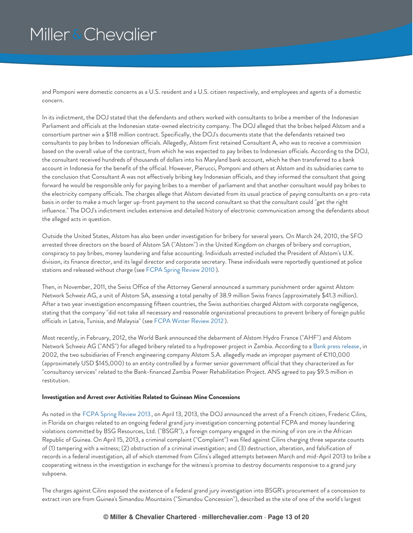and Pomponi were domestic concerns as a U.S. resident and a U.S. citizen respectively, and employees and agents of a domestic concern.

In its indictment, the DOJ stated that the defendants and others worked with consultants to bribe a member of the Indonesian Parliament and officials at the Indonesian state-owned electricity company. The DOJ alleged that the bribes helped Alstom and a consortium partner win a \$118 million contract. Specifically, the DOJ's documents state that the defendants retained two consultants to pay bribes to Indonesian officials. Allegedly, Alstom first retained Consultant A, who was to receive a commission based on the overall value of the contract, from which he was expected to pay bribes to Indonesian officials. According to the DOJ, the consultant received hundreds of thousands of dollars into his Maryland bank account, which he then transferred to a bank account in Indonesia for the benefit of the official. However, Pierucci, Pomponi and others at Alstom and its subsidiaries came to the conclusion that Consultant A was not effectively bribing key Indonesian officials, and they informed the consultant that going forward he would be responsible only for paying bribes to a member of parliament and that another consultant would pay bribes to the electricity company officials. The charges allege that Alstom deviated from its usual practice of paying consultants on a pro-rata basis in order to make a much larger up-front payment to the second consultant so that the consultant could "get the right influence." The DOJ's indictment includes extensive and detailed history of electronic communication among the defendants about the alleged acts in question.

Outside the United States, Alstom has also been under investigation for bribery for several years. On March 24, 2010, the SFO arrested three directors on the board of Alstom SA ("Alstom") in the United Kingdom on charges of bribery and corruption, conspiracy to pay bribes, money laundering and false accounting. Individuals arrested included the President of Alstom's U.K. division, its finance director, and its legal director and corporate secretary. These individuals were reportedly questioned at police stations and released without charge (see FCPA Spring [Review](https://www.millerchevalier.com/publication/fcpa-spring-review-2010) 2010).

Then, in November, 2011, the Swiss Office of the Attorney General announced a summary punishment order against Alstom Network Schweiz AG, a unit of Alstom SA, assessing a total penalty of 38.9 million Swiss francs (approximately \$41.3 million). After a two year investigation encompassing fifteen countries, the Swiss authorities charged Alstom with corporate negligence, stating that the company "did not take all necessary and reasonable organizational precautions to prevent bribery of foreign public officials in Latvia, Tunisia, and Malaysia" (see FCPA Winter [Review](https://www.millerchevalier.com/publication/fcpa-winter-review-2012) 2012 ).

Most recently, in February, 2012, the World Bank announced the debarment of Alstom Hydro France ("AHF") and Alstom Network Schweiz AG ("ANS") for alleged bribery related to a hydropower project in Zambia. According to a Bank press [release](http://web.worldbank.org/WBSITE/EXTERNAL/NEWS/0,,contentMDK:23123315~pagePK:64257043~piPK:437376~theSitePK:4607,00.html), in 2002, the two subsidiaries of French engineering company Alstom S.A. allegedly made an improper payment of €110,000 (approximately USD \$145,000) to an entity controlled by a former senior government official that they characterized as for "consultancy services" related to the Bank-financed Zambia Power Rehabilitation Project. ANS agreed to pay \$9.5 million in restitution.

#### <span id="page-12-0"></span>**Investigation and Arrest over Activities Related to Guinean Mine Concessions**

As noted in the FCPA Spring [Review](https://www.millerchevalier.com/publication/fcpa-spring-review-2013) 2013, on April 13, 2013, the DOJ announced the arrest of a French citizen, Frederic Cilins, in Florida on charges related to an ongoing federal grand jury investigation concerning potential FCPA and money laundering violations committed by BSG Resources, Ltd. ("BSGR"), a foreign company engaged in the mining of iron ore in the African Republic of Guinea. On April 15, 2013, a criminal complaint ("Complaint") was filed against Cilins charging three separate counts of (1) tampering with a witness; (2) obstruction of a criminal investigation; and (3) destruction, alteration, and falsification of records in a federal investigation, all of which stemmed from Cilins's alleged attempts between March and mid-April 2013 to bribe a cooperating witness in the investigation in exchange for the witness's promise to destroy documents responsive to a grand jury subpoena.

The charges against Cilins exposed the existence of a federal grand jury investigation into BSGR's procurement of a concession to extract iron ore from Guinea's Simandou Mountains ("Simandou Concession"), described as the site of one of the world's largest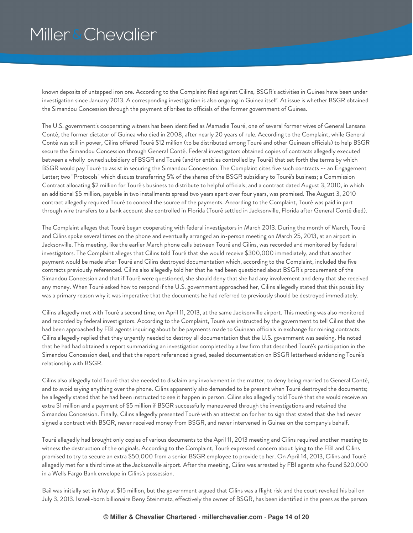known deposits of untapped iron ore. According to the Complaint filed against Cilins, BSGR's activities in Guinea have been under investigation since January 2013. A corresponding investigation is also ongoing in Guinea itself. At issue is whether BSGR obtained the Simandou Concession through the payment of bribes to officials of the former government of Guinea.

The U.S. government's cooperating witness has been identified as Mamadie Touré, one of several former wives of General Lansana Conté, the former dictator of Guinea who died in 2008, after nearly 20 years of rule. According to the Complaint, while General Conté was still in power, Cilins offered Touré \$12 million (to be distributed among Touré and other Guinean officials) to help BSGR secure the Simandou Concession through General Conté. Federal investigators obtained copies of contracts allegedly executed between a wholly-owned subsidiary of BSGR and Touré (and/or entities controlled by Touré) that set forth the terms by which BSGR would pay Touré to assist in securing the Simandou Concession. The Complaint cites five such contracts -- an Engagement Letter; two "Protocols" which discuss transferring 5% of the shares of the BSGR subsidiary to Touré's business; a Commission Contract allocating \$2 million for Touré's business to distribute to helpful officials; and a contract dated August 3, 2010, in which an additional \$5 million, payable in two installments spread two years apart over four years, was promised. The August 3, 2010 contract allegedly required Touré to conceal the source of the payments. According to the Complaint, Touré was paid in part through wire transfers to a bank account she controlled in Florida (Touré settled in Jacksonville, Florida after General Conté died).

The Complaint alleges that Touré began cooperating with federal investigators in March 2013. During the month of March, Touré and Cilins spoke several times on the phone and eventually arranged an in-person meeting on March 25, 2013, at an airport in Jacksonville. This meeting, like the earlier March phone calls between Touré and Cilins, was recorded and monitored by federal investigators. The Complaint alleges that Cilins told Touré that she would receive \$300,000 immediately, and that another payment would be made after Touré and Cilins destroyed documentation which, according to the Complaint, included the five contracts previously referenced. Cilins also allegedly told her that he had been questioned about BSGR's procurement of the Simandou Concession and that if Touré were questioned, she should deny that she had any involvement and deny that she received any money. When Touré asked how to respond if the U.S. government approached her, Cilins allegedly stated that this possibility was a primary reason why it was imperative that the documents he had referred to previously should be destroyed immediately.

Cilins allegedly met with Touré a second time, on April 11, 2013, at the same Jacksonville airport. This meeting was also monitored and recorded by federal investigators. According to the Complaint, Touré was instructed by the government to tell Cilins that she had been approached by FBI agents inquiring about bribe payments made to Guinean officials in exchange for mining contracts. Cilins allegedly replied that they urgently needed to destroy all documentation that the U.S. government was seeking. He noted that he had had obtained a report summarizing an investigation completed by a law firm that described Touré's participation in the Simandou Concession deal, and that the report referenced signed, sealed documentation on BSGR letterhead evidencing Touré's relationship with BSGR.

Cilins also allegedly told Touré that she needed to disclaim any involvement in the matter, to deny being married to General Conté, and to avoid saying anything over the phone. Cilins apparently also demanded to be present when Touré destroyed the documents; he allegedly stated that he had been instructed to see it happen in person. Cilins also allegedly told Touré that she would receive an extra \$1 million and a payment of \$5 million if BSGR successfully maneuvered through the investigations and retained the Simandou Concession. Finally, Cilins allegedly presented Touré with an attestation for her to sign that stated that she had never signed a contract with BSGR, never received money from BSGR, and never intervened in Guinea on the company's behalf.

Touré allegedly had brought only copies of various documents to the April 11, 2013 meeting and Cilins required another meeting to witness the destruction of the originals. According to the Complaint, Touré expressed concern about lying to the FBI and Cilins promised to try to secure an extra \$50,000 from a senior BSGR employee to provide to her. On April 14, 2013, Cilins and Touré allegedly met for a third time at the Jacksonville airport. After the meeting, Cilins was arrested by FBI agents who found \$20,000 in a Wells Fargo Bank envelope in Cilins's possession.

Bail was initially set in May at \$15 million, but the government argued that Cilins was a flight risk and the court revoked his bail on July 3, 2013. Israeli-born billionaire Beny Steinmetz, effectively the owner of BSGR, has been identified in the press as the person

### **© Miller & Chevalier Chartered · millerchevalier.com · Page 14 of 20**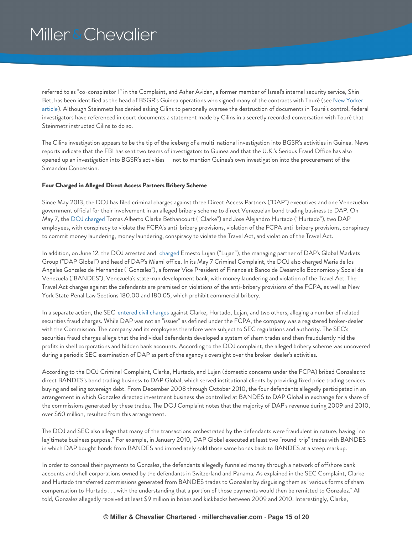referred to as "co-conspirator 1" in the Complaint, and Asher Avidan, a former member of Israel's internal security service, Shin Bet, has been identified as the head of BSGR's Guinea operations who signed many of the contracts with Touré (see New Yorker article). Although Steinmetz has denied asking Cilins to personally oversee the [destruction](http://www.newyorker.com/reporting/2013/07/08/130708fa_fact_keefe?currentPage=all) of documents in Touré's control, federal investigators have referenced in court documents a statement made by Cilins in a secretly recorded conversation with Touré that Steinmetz instructed Cilins to do so.

The Cilins investigation appears to be the tip of the iceberg of a multi-national investigation into BGSR's activities in Guinea. News reports indicate that the FBI has sent two teams of investigators to Guinea and that the U.K.'s Serious Fraud Office has also opened up an investigation into BGSR's activities -- not to mention Guinea's own investigation into the procurement of the Simandou Concession.

### <span id="page-14-0"></span>**Four Charged in Alleged Direct Access Partners Bribery Scheme**

Since May 2013, the DOJ has filed criminal charges against three Direct Access Partners ("DAP") executives and one Venezuelan government official for their involvement in an alleged bribery scheme to direct Venezuelan bond trading business to DAP. On May 7, the DOJ [charged](http://www.justice.gov/usao/nys/pressreleases/May13/ClarkeetalComplaintPR/Clarke%20et%20al%20Complaint.pdf) Tomas Alberto Clarke Bethancourt ("Clarke") and Jose Alejandro Hurtado ("Hurtado"), two DAP employees, with conspiracy to violate the FCPA's anti-bribery provisions, violation of the FCPA anti-bribery provisions, conspiracy to commit money laundering, money laundering, conspiracy to violate the Travel Act, and violation of the Travel Act.

In addition, on June 12, the DOJ arrested and [charged](http://www.justice.gov/usao/nys/pressreleases/June13/LujanArrestPR/Lujan,%20Ernesto%20Complaint.pdf) Ernesto Lujan ("Lujan"), the managing partner of DAP's Global Markets Group ("DAP Global") and head of DAP's Miami office. In its May 7 Criminal Complaint, the DOJ also charged Maria de los Angeles Gonzalez de Hernandez ("Gonzalez"), a former Vice President of Finance at Banco de Desarrollo Economico y Social de Venezuela ("BANDES"), Venezuela's state-run development bank, with money laundering and violation of the Travel Act. The Travel Act charges against the defendants are premised on violations of the anti-bribery provisions of the FCPA, as well as New York State Penal Law Sections 180.00 and 180.05, which prohibit commercial bribery.

In a separate action, the SEC [entered](http://www.sec.gov/litigation/complaints/2013/comp-pr2013-109.pdf) civil charges against Clarke, Hurtado, Lujan, and two others, alleging a number of related securities fraud charges. While DAP was not an "issuer" as defined under the FCPA, the company was a registered broker-dealer with the Commission. The company and its employees therefore were subject to SEC regulations and authority. The SEC's securities fraud charges allege that the individual defendants developed a system of sham trades and then fraudulently hid the profits in shell corporations and hidden bank accounts. According to the DOJ complaint, the alleged bribery scheme was uncovered during a periodic SEC examination of DAP as part of the agency's oversight over the broker-dealer's activities.

According to the DOJ Criminal Complaint, Clarke, Hurtado, and Lujan (domestic concerns under the FCPA) bribed Gonzalez to direct BANDES's bond trading business to DAP Global, which served institutional clients by providing fixed price trading services buying and selling sovereign debt. From December 2008 through October 2010, the four defendants allegedly participated in an arrangement in which Gonzalez directed investment business she controlled at BANDES to DAP Global in exchange for a share of the commissions generated by these trades. The DOJ Complaint notes that the majority of DAP's revenue during 2009 and 2010, over \$60 million, resulted from this arrangement.

The DOJ and SEC also allege that many of the transactions orchestrated by the defendants were fraudulent in nature, having "no legitimate business purpose." For example, in January 2010, DAP Global executed at least two "round-trip" trades with BANDES in which DAP bought bonds from BANDES and immediately sold those same bonds back to BANDES at a steep markup.

In order to conceal their payments to Gonzalez, the defendants allegedly funneled money through a network of offshore bank accounts and shell corporations owned by the defendants in Switzerland and Panama. As explained in the SEC Complaint, Clarke and Hurtado transferred commissions generated from BANDES trades to Gonzalez by disguising them as "various forms of sham compensation to Hurtado . . . with the understanding that a portion of those payments would then be remitted to Gonzalez." All told, Gonzalez allegedly received at least \$9 million in bribes and kickbacks between 2009 and 2010. Interestingly, Clarke,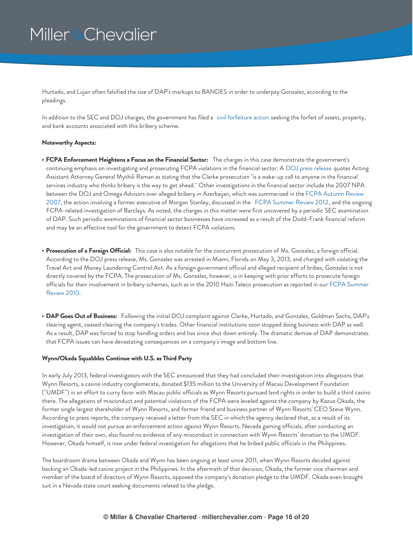Hurtado, and Lujan often falsified the size of DAP's markups to BANDES in order to underpay Gonzalez, according to the pleadings.

In addition to the SEC and DOJ charges, the government has filed a civil [forfeiture](http://www.justice.gov/usao/nys/pressreleases/May13/ClarkeetalComplaintPR/Cartagena%20International,%20et%20al.%20Civil%20Forfeiture%20Complaint%2013%20Civ%203028.pdf) action seeking the forfeit of assets, property, and bank accounts associated with this bribery scheme.

#### **Noteworthy Aspects:**

- **FCPA Enforcement Heightens a Focus on the Financial Sector:** The charges in this case demonstrate the government's continuing emphasis on investigating and prosecuting FCPA violations in the financial sector. A DOJ press [release](http://www.justice.gov/usao/nys/pressreleases/May13/ClarkeetalComplaintPR.php) quotes Acting Assistant Attorney General Mythili Raman as stating that the Clarke prosecution "is a wake-up call to anyone in the financial services industry who thinks bribery is the way to get ahead." Other investigations in the financial sector include the 2007 NPA between the DOJ and Omega Advisors over alleged bribery in Azerbaijan, which was [summarized](https://www.millerchevalier.com/publication/fcpa-autumn-review-2007) in the FCPA Autumn Review 2007, the action involving a former executive of Morgan Stanley, discussed in the FCPA [Summer](https://www.millerchevalier.com/publication/fcpa-summer-review-2012) Review 2012, and the ongoing FCPA-related investigation of Barclays. As noted, the charges in this matter were first uncovered by a periodic SEC examination of DAP. Such periodic examinations of financial sector businesses have increased as a result of the Dodd-Frank financial reform and may be an effective tool for the government to detect FCPA violations.
- **Prosecution of a Foreign Official:** This case is also notable for the concurrent prosecution of Ms. Gonzalez, a foreign official. According to the DOJ press release, Ms. Gonzalez was arrested in Miami, Florida on May 3, 2013, and charged with violating the Travel Act and Money Laundering Control Act. As a foreign government official and alleged recipient of bribes, Gonzalez is not directly covered by the FCPA. The prosecution of Ms. Gonzalez, however, is in keeping with prior efforts to prosecute foreign officials for their [involvement](https://www.millerchevalier.com/publication/fcpa-summer-review-2010) in bribery schemes, such as in the 2010 Haiti Teleco prosecution as reported in our FCPA Summer Review 2010.
- **DAP Goes Out of Business:** Following the initial DOJ complaint against Clarke, Hurtado, and Gonzalez, Goldman Sachs, DAP's clearing agent, ceased clearing the company's trades. Other financial institutions soon stopped doing business with DAP as well. As a result, DAP was forced to stop handling orders and has since shut down entirely. The dramatic demise of DAP demonstrates that FCPA issues can have devastating consequences on a company's image and bottom line.

#### <span id="page-15-0"></span>**Wynn/Okada Squabbles Continue with U.S. as Third Party**

In early July 2013, federal investigators with the SEC announced that they had concluded their investigation into allegations that Wynn Resorts, a casino industry conglomerate, donated \$135 million to the University of Macau Development Foundation ("UMDF") in an effort to curry favor with Macau public officials as Wynn Resorts pursued land rights in order to build a third casino there. The allegations of misconduct and potential violations of the FCPA were leveled against the company by Kazuo Okada, the former single largest shareholder of Wynn Resorts, and former friend and business partner of Wynn Resorts' CEO Steve Wynn. According to press reports, the company received a letter from the SEC in which the agency declared that, as a result of its investigation, it would not pursue an enforcement action against Wynn Resorts. Nevada gaming officials, after conducting an investigation of their own, also found no evidence of any misconduct in connection with Wynn Resorts' donation to the UMDF. However, Okada himself, is now under federal investigation for allegations that he bribed public officials in the Philippines.

The boardroom drama between Okada and Wynn has been ongoing at least since 2011, when Wynn Resorts decided against backing an Okada-led casino project in the Philippines. In the aftermath of that decision, Okada, the former vice chairman and member of the board of directors of Wynn Resorts, opposed the company's donation pledge to the UMDF. Okada even brought suit in a Nevada state court seeking documents related to the pledge.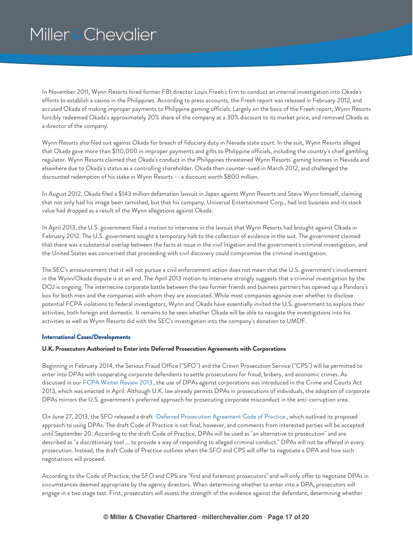In November 2011, Wynn Resorts hired former FBI director Louis Freeh's firm to conduct an internal investigation into Okada's efforts to establish a casino in the Philippines. According to press accounts, the Freeh report was released in February 2012, and accused Okada of making improper payments to Philippine gaming officials. Largely on the basis of the Freeh report, Wynn Resorts forcibly redeemed Okada's approximately 20% share of the company at a 30% discount to its market price, and removed Okada as a director of the company.

Wynn Resorts also filed suit against Okada for breach of fiduciary duty in Nevada state court. In the suit, Wynn Resorts alleged that Okada gave more than \$110,000 in improper payments and gifts to Philippine officials, including the country's chief gambling regulator. Wynn Resorts claimed that Okada's conduct in the Philippines threatened Wynn Resorts' gaming licenses in Nevada and elsewhere due to Okada's status as a controlling shareholder. Okada then counter-sued in March 2012, and challenged the discounted redemption of his stake in Wynn Resorts -- a discount worth \$800 million.

In August 2012, Okada filed a \$143 million defamation lawsuit in Japan against Wynn Resorts and Steve Wynn himself, claiming that not only had his image been tarnished, but that his company, Universal Entertainment Corp., had lost business and its stock value had dropped as a result of the Wynn allegations against Okada.

In April 2013, the U.S. government filed a motion to intervene in the lawsuit that Wynn Resorts had brought against Okada in February 2012. The U.S. government sought a temporary halt to the collection of evidence in the suit. The government claimed that there was a substantial overlap between the facts at issue in the civil litigation and the government's criminal investigation, and the United States was concerned that proceeding with civil discovery could compromise the criminal investigation.

The SEC's announcement that it will not pursue a civil enforcement action does not mean that the U.S. government's involvement in the Wynn/Okada dispute is at an end. The April 2013 motion to intervene strongly suggests that a criminal investigation by the DOJ is ongoing. The internecine corporate battle between the two former friends and business partners has opened up a Pandora's box for both men and the companies with whom they are associated. While most companies agonize over whether to disclose potential FCPA violations to federal investigators, Wynn and Okada have essentially invited the U.S. government to explore their activities, both foreign and domestic. It remains to be seen whether Okada will be able to navigate the investigations into his activities as well as Wynn Resorts did with the SEC's investigation into the company's donation to UMDF.

### <span id="page-16-0"></span>**International Cases/Developments**

### <span id="page-16-1"></span>**U.K. Prosecutors Authorized to Enter into Deferred Prosecution Agreements with Corporations**

Beginning in February 2014, the Serious Fraud Office ("SFO") and the Crown Prosecution Service ("CPS") will be permitted to enter into DPAs with cooperating corporate defendants to settle prosecutions for fraud, bribery, and economic crimes. As discussed in our FCPA Winter [Review](https://www.millerchevalier.com/publication/fcpa-winter-review-2013) 2013 , the use of DPAs against corporations was introduced in the Crime and Courts Act 2013, which was enacted in April. Although U.K. law already permits DPAs in prosecutions of individuals, the adoption of corporate DPAs mirrors the U.S. government's preferred approach for prosecuting corporate misconduct in the anti-corruption area.

On June 27, 2013, the SFO released a draft Deferred [Prosecution](https://www.sfo.gov.uk/publications/guidance-policy-and-protocols/deferred-prosecution-agreements) Agreement Code of Practice , which outlined its proposed approach to using DPAs. The draft Code of Practice is not final, however, and comments from interested parties will be accepted until September 20. According to the draft Code of Practice, DPAs will be used as "an alternative to prosecution" and are described as "a discretionary tool ... to provide a way of responding to alleged criminal conduct." DPAs will not be offered in every prosecution. Instead, the draft Code of Practice outlines when the SFO and CPS will offer to negotiate a DPA and how such negotiations will proceed.

According to the Code of Practice, the SFO and CPS are "first and foremost prosecutors" and will only offer to negotiate DPAs in circumstances deemed appropriate by the agency directors. When determining whether to enter into a DPA, prosecutors will engage in a two stage test. First, prosecutors will assess the strength of the evidence against the defendant, determining whether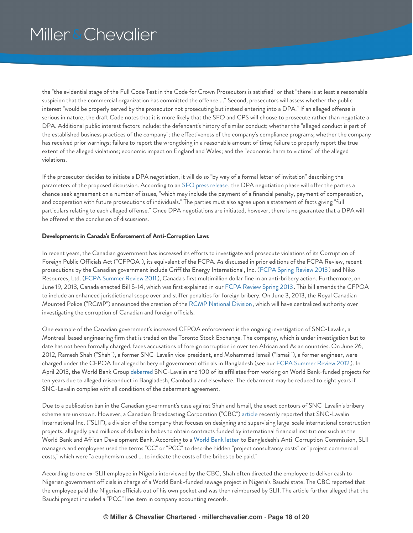the "the evidential stage of the Full Code Test in the Code for Crown Prosecutors is satisfied" or that "there is at least a reasonable suspicion that the commercial organization has committed the offence...." Second, prosecutors will assess whether the public interest "would be properly served by the prosecutor not prosecuting but instead entering into a DPA." If an alleged offense is serious in nature, the draft Code notes that it is more likely that the SFO and CPS will choose to prosecute rather than negotiate a DPA. Additional public interest factors include: the defendant's history of similar conduct; whether the "alleged conduct is part of the established business practices of the company"; the effectiveness of the company's compliance programs; whether the company has received prior warnings; failure to report the wrongdoing in a reasonable amount of time; failure to properly report the true extent of the alleged violations; economic impact on England and Wales; and the "economic harm to victims" of the alleged violations.

If the prosecutor decides to initiate a DPA negotiation, it will do so "by way of a formal letter of invitation" describing the parameters of the proposed discussion. According to an SFO press [release](https://www.sfo.gov.uk/publications/guidance-policy-and-protocols/deferred-prosecution-agreements), the DPA negotiation phase will offer the parties a chance seek agreement on a number of issues, "which may include the payment of a financial penalty, payment of compensation, and cooperation with future prosecutions of individuals." The parties must also agree upon a statement of facts giving "full particulars relating to each alleged offense." Once DPA negotiations are initiated, however, there is no guarantee that a DPA will be offered at the conclusion of discussions.

### <span id="page-17-0"></span>**Developments in Canada's Enforcement of Anti-Corruption Laws**

In recent years, the Canadian government has increased its efforts to investigate and prosecute violations of its Corruption of Foreign Public Officials Act ("CFPOA"), its equivalent of the FCPA. As discussed in prior editions of the FCPA Review, recent prosecutions by the Canadian government include Griffiths Energy International, Inc. (FCPA Spring [Review](https://www.millerchevalier.com/publication/fcpa-spring-review-2013) 2013) and Niko Resources, Ltd. (FCPA [Summer](https://www.millerchevalier.com/publication/fcpa-summer-review-2011) Review 2011), Canada's first multimillion dollar fine in an anti-bribery action. Furthermore, on June 19, 2013, Canada enacted Bill S-14, which was first explained in our FCPA [Review](https://www.millerchevalier.com/publication/fcpa-spring-review-2013) Spring 2013. This bill amends the CFPOA to include an enhanced jurisdictional scope over and stiffer penalties for foreign bribery. On June 3, 2013, the Royal Canadian Mounted Police ("RCMP") announced the creation of the RCMP [National](http://www.rcmp-grc.gc.ca/en/nation/about-division) Division, which will have centralized authority over investigating the corruption of Canadian and foreign officials.

One example of the Canadian government's increased CFPOA enforcement is the ongoing investigation of SNC-Lavalin, a Montreal-based engineering firm that is traded on the Toronto Stock Exchange. The company, which is under investigation but to date has not been formally charged, faces accusations of foreign corruption in over ten African and Asian countries. On June 26, 2012, Ramesh Shah ("Shah"), a former SNC-Lavalin vice-president, and Mohammad Ismail ("Ismail"), a former engineer, were charged under the CFPOA for alleged bribery of government officials in Bangladesh (see our FCPA [Summer](https://www.millerchevalier.com/publication/fcpa-summer-review-2012) Review 2012). In April 2013, the World Bank Group [debarred](http://www.worldbank.org/en/news/press-release/2013/04/17/world-bank-debars-snc-lavalin-inc-and-its-affiliates-for-ten-years) SNC-Lavalin and 100 of its affiliates from working on World Bank-funded projects for ten years due to alleged misconduct in Bangladesh, Cambodia and elsewhere. The debarment may be reduced to eight years if SNC-Lavalin complies with all conditions of the debarment agreement.

Due to a publication ban in the Canadian government's case against Shah and Ismail, the exact contours of SNC-Lavalin's bribery scheme are unknown. However, a Canadian Broadcasting Corporation ("CBC") [article](http://www.cbc.ca/news/canada/snc-lavalin-international-used-secret-code-for-bribery-payments-1.1386670) recently reported that SNC-Lavalin International Inc. ("SLII"), a division of the company that focuses on designing and supervising large-scale international construction projects, allegedly paid millions of dollars in bribes to obtain contracts funded by international financial institutions such as the World Bank and African Development Bank. According to a [World](http://archive.thedailystar.net/newDesign/news-details.php?nid=265294) Bank letter to Bangladesh's Anti-Corruption Commission, SLII managers and employees used the terms "CC" or "PCC" to describe hidden "project consultancy costs" or "project commercial costs," which were "a euphemism used ... to indicate the costs of the bribes to be paid."

According to one ex-SLII employee in Nigeria interviewed by the CBC, Shah often directed the employee to deliver cash to Nigerian government officials in charge of a World Bank-funded sewage project in Nigeria's Bauchi state. The CBC reported that the employee paid the Nigerian officials out of his own pocket and was then reimbursed by SLII. The article further alleged that the Bauchi project included a "PCC" line item in company accounting records.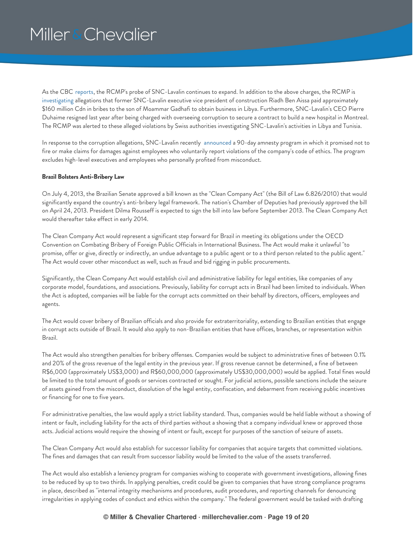As the CBC [reports](http://www.cbc.ca/news/canada/story/2013/05/23/snc-lavalin-probe-assets-frozen.html), the RCMP's probe of SNC-Lavalin continues to expand. In addition to the above charges, the RCMP is [investigating](http://www.cbc.ca/news/business/story/2013/01/25/business-snc-lavalin.html) allegations that former SNC-Lavalin executive vice president of construction Riadh Ben Aissa paid approximately \$160 million Cdn in bribes to the son of Moammar Gadhafi to obtain business in Libya. Furthermore, SNC-Lavalin's CEO Pierre Duhaime resigned last year after being charged with overseeing corruption to secure a contract to build a new hospital in Montreal. The RCMP was alerted to these alleged violations by Swiss authorities investigating SNC-Lavalin's activities in Libya and Tunisia.

In response to the corruption allegations, SNC-Lavalin recently [announced](http://www.snclavalin.com/news.php?lang=en&id=2104) a 90-day amnesty program in which it promised not to fire or make claims for damages against employees who voluntarily report violations of the company's code of ethics. The program excludes high-level executives and employees who personally profited from misconduct.

### <span id="page-18-0"></span>**Brazil Bolsters Anti-Bribery Law**

On July 4, 2013, the Brazilian Senate approved a bill known as the "Clean Company Act" (the Bill of Law 6.826/2010) that would significantly expand the country's anti-bribery legal framework. The nation's Chamber of Deputies had previously approved the bill on April 24, 2013. President Dilma Rousseff is expected to sign the bill into law before September 2013. The Clean Company Act would thereafter take effect in early 2014.

The Clean Company Act would represent a significant step forward for Brazil in meeting its obligations under the OECD Convention on Combating Bribery of Foreign Public Officials in International Business. The Act would make it unlawful "to promise, offer or give, directly or indirectly, an undue advantage to a public agent or to a third person related to the public agent." The Act would cover other misconduct as well, such as fraud and bid rigging in public procurements.

Significantly, the Clean Company Act would establish civil and administrative liability for legal entities, like companies of any corporate model, foundations, and associations. Previously, liability for corrupt acts in Brazil had been limited to individuals. When the Act is adopted, companies will be liable for the corrupt acts committed on their behalf by directors, officers, employees and agents.

The Act would cover bribery of Brazilian officials and also provide for extraterritoriality, extending to Brazilian entities that engage in corrupt acts outside of Brazil. It would also apply to non-Brazilian entities that have offices, branches, or representation within Brazil.

The Act would also strengthen penalties for bribery offenses. Companies would be subject to administrative fines of between 0.1% and 20% of the gross revenue of the legal entity in the previous year. If gross revenue cannot be determined, a fine of between R\$6,000 (approximately US\$3,000) and R\$60,000,000 (approximately US\$30,000,000) would be applied. Total fines would be limited to the total amount of goods or services contracted or sought. For judicial actions, possible sanctions include the seizure of assets gained from the misconduct, dissolution of the legal entity, confiscation, and debarment from receiving public incentives or financing for one to five years.

For administrative penalties, the law would apply a strict liability standard. Thus, companies would be held liable without a showing of intent or fault, including liability for the acts of third parties without a showing that a company individual knew or approved those acts. Judicial actions would require the showing of intent or fault, except for purposes of the sanction of seizure of assets.

The Clean Company Act would also establish for successor liability for companies that acquire targets that committed violations. The fines and damages that can result from successor liability would be limited to the value of the assets transferred.

The Act would also establish a leniency program for companies wishing to cooperate with government investigations, allowing fines to be reduced by up to two thirds. In applying penalties, credit could be given to companies that have strong compliance programs in place, described as "internal integrity mechanisms and procedures, audit procedures, and reporting channels for denouncing irregularities in applying codes of conduct and ethics within the company." The federal government would be tasked with drafting